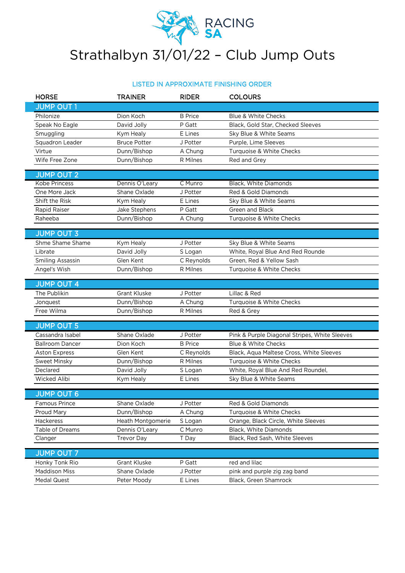

## Strathalbyn 31/01/22 – Club Jump Outs

## LISTED IN APPROXIMATE FINISHING ORDER

| <b>HORSE</b>            | <b>TRAINER</b>      | <b>RIDER</b>   | <b>COLOURS</b>                                |  |
|-------------------------|---------------------|----------------|-----------------------------------------------|--|
| <b>JUMP OUT 1</b>       |                     |                |                                               |  |
| Philonize               | Dion Koch           | <b>B</b> Price | <b>Blue &amp; White Checks</b>                |  |
| Speak No Eagle          | David Jolly         | P Gatt         | Black, Gold Star, Checked Sleeves             |  |
| Smuggling               | Kym Healy           | E Lines        | Sky Blue & White Seams                        |  |
| Squadron Leader         | <b>Bruce Potter</b> | J Potter       | Purple, Lime Sleeves                          |  |
| Virtue                  | Dunn/Bishop         | A Chung        | Turquoise & White Checks                      |  |
| Wife Free Zone          | Dunn/Bishop         | R Milnes       | Red and Grey                                  |  |
|                         |                     |                |                                               |  |
| <b>JUMP OUT 2</b>       |                     |                |                                               |  |
| <b>Kobe Princess</b>    | Dennis O'Leary      | C Munro        | Black, White Diamonds                         |  |
| One More Jack           | Shane Oxlade        | J Potter       | Red & Gold Diamonds                           |  |
| Shift the Risk          | Kym Healy           | E Lines        | Sky Blue & White Seams                        |  |
| Rapid Raiser            | Jake Stephens       | P Gatt         | Green and Black                               |  |
| Raheeba                 | Dunn/Bishop         | A Chung        | Turquoise & White Checks                      |  |
| <b>JUMP OUT 3</b>       |                     |                |                                               |  |
| Shme Shame Shame        | Kym Healy           | J Potter       | Sky Blue & White Seams                        |  |
| Librate                 | David Jolly         | S Logan        | White, Royal Blue And Red Rounde              |  |
| <b>Smiling Assassin</b> | Glen Kent           | C Reynolds     | Green, Red & Yellow Sash                      |  |
| Angel's Wish            | Dunn/Bishop         | R Milnes       | Turquoise & White Checks                      |  |
|                         |                     |                |                                               |  |
| <b>JUMP OUT 4</b>       |                     |                |                                               |  |
| The Publikin            | <b>Grant Kluske</b> | J Potter       | Lillac & Red                                  |  |
| Jonquest                | Dunn/Bishop         | A Chung        | Turquoise & White Checks                      |  |
| Free Wilma              | Dunn/Bishop         | R Milnes       | Red & Grey                                    |  |
|                         |                     |                |                                               |  |
| <b>JUMP OUT 5</b>       |                     |                |                                               |  |
| Cassandra Isabel        | Shane Oxlade        | J Potter       | Pink & Purple Diagonal Stripes, White Sleeves |  |
| <b>Ballroom Dancer</b>  | Dion Koch           | <b>B</b> Price | Blue & White Checks                           |  |
| <b>Aston Express</b>    | Glen Kent           | C Reynolds     | Black, Aqua Maltese Cross, White Sleeves      |  |
| <b>Sweet Minsky</b>     | Dunn/Bishop         | R Milnes       | Turquoise & White Checks                      |  |
| Declared                | David Jolly         | S Logan        | White, Royal Blue And Red Roundel,            |  |
| Wicked Alibi            | Kym Healy           | E Lines        | Sky Blue & White Seams                        |  |
| <b>JUMP OUT 6</b>       |                     |                |                                               |  |
| Famous Prince           | Shane Oxlade        | J Potter       | Red & Gold Diamonds                           |  |
| Proud Mary              | Dunn/Bishop         | A Chung        | Turquoise & White Checks                      |  |
| Hackeress               | Heath Montgomerie   | S Logan        | Orange, Black Circle, White Sleeves           |  |
| Table of Dreams         | Dennis O'Leary      | C Munro        | Black, White Diamonds                         |  |
| Clanger                 | <b>Trevor Day</b>   | T Day          | Black, Red Sash, White Sleeves                |  |
|                         |                     |                |                                               |  |
| <b>JUMP OUT 7</b>       |                     |                |                                               |  |
| Honky Tonk Rio          | Grant Kluske        | P Gatt         | red and lilac                                 |  |
| <b>Maddison Miss</b>    | Shane Oxlade        | J Potter       | pink and purple zig zag band                  |  |
| <b>Medal Quest</b>      | Peter Moody         | E Lines        | Black, Green Shamrock                         |  |